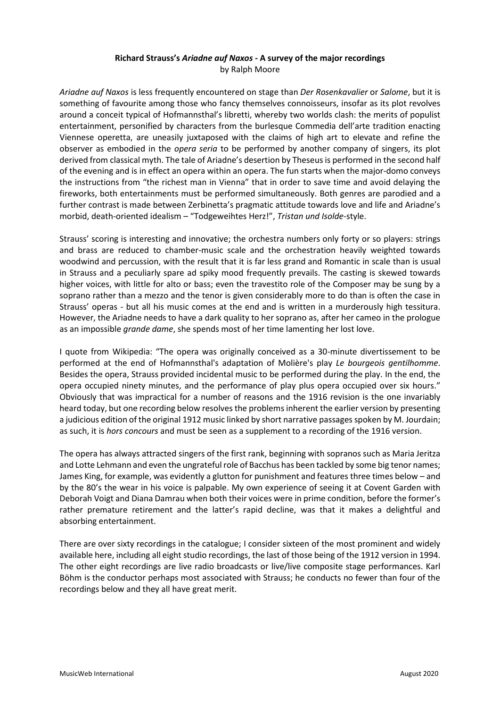# **Richard Strauss's** *Ariadne auf Naxos -* **A survey of the major recordings** by Ralph Moore

*Ariadne auf Naxos* is less frequently encountered on stage than *Der Rosenkavalier* or *Salome*, but it is something of favourite among those who fancy themselves connoisseurs, insofar as its plot revolves around a conceit typical of Hofmannsthal's libretti, whereby two worlds clash: the merits of populist entertainment, personified by characters from the burlesque Commedia dell'arte tradition enacting Viennese operetta, are uneasily juxtaposed with the claims of high art to elevate and refine the observer as embodied in the *opera seria* to be performed by another company of singers, its plot derived from classical myth. The tale of Ariadne's desertion by Theseus is performed in the second half of the evening and is in effect an opera within an opera. The fun starts when the major-domo conveys the instructions from "the richest man in Vienna" that in order to save time and avoid delaying the fireworks, both entertainments must be performed simultaneously. Both genres are parodied and a further contrast is made between Zerbinetta's pragmatic attitude towards love and life and Ariadne's morbid, death-oriented idealism – "Todgeweihtes Herz!", *Tristan und Isolde*-style.

Strauss' scoring is interesting and innovative; the orchestra numbers only forty or so players: strings and brass are reduced to chamber-music scale and the orchestration heavily weighted towards woodwind and percussion, with the result that it is far less grand and Romantic in scale than is usual in Strauss and a peculiarly spare ad spiky mood frequently prevails. The casting is skewed towards higher voices, with little for alto or bass; even the travestito role of the Composer may be sung by a soprano rather than a mezzo and the tenor is given considerably more to do than is often the case in Strauss' operas - but all his music comes at the end and is written in a murderously high tessitura. However, the Ariadne needs to have a dark quality to her soprano as, after her cameo in the prologue as an impossible *grande dame*, she spends most of her time lamenting her lost love.

I quote from Wikipedia: "The opera was originally conceived as a 30-minute divertissement to be performed at the end of Hofmannsthal's adaptation of Molière's play *Le bourgeois gentilhomme*. Besides the opera, Strauss provided incidental music to be performed during the play. In the end, the opera occupied ninety minutes, and the performance of play plus opera occupied over six hours." Obviously that was impractical for a number of reasons and the 1916 revision is the one invariably heard today, but one recording below resolves the problemsinherent the earlier version by presenting a judicious edition of the original 1912 music linked by short narrative passages spoken by M. Jourdain; as such, it is *hors concours* and must be seen as a supplement to a recording of the 1916 version.

The opera has always attracted singers of the first rank, beginning with sopranos such as Maria Jeritza and Lotte Lehmann and even the ungrateful role of Bacchus has been tackled by some big tenor names; James King, for example, was evidently a glutton for punishment and features three times below – and by the 80's the wear in his voice is palpable. My own experience of seeing it at Covent Garden with Deborah Voigt and Diana Damrau when both their voices were in prime condition, before the former's rather premature retirement and the latter's rapid decline, was that it makes a delightful and absorbing entertainment.

There are over sixty recordings in the catalogue; I consider sixteen of the most prominent and widely available here, including all eight studio recordings, the last of those being of the 1912 version in 1994. The other eight recordings are live radio broadcasts or live/live composite stage performances. Karl Böhm is the conductor perhaps most associated with Strauss; he conducts no fewer than four of the recordings below and they all have great merit.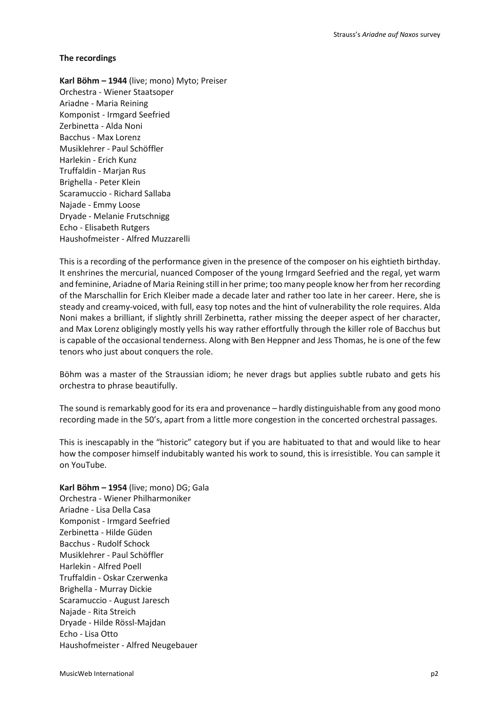### **The recordings**

**Karl Böhm – 1944** (live; mono) Myto; Preiser Orchestra - Wiener Staatsoper Ariadne - Maria Reining Komponist - Irmgard Seefried Zerbinetta - Alda Noni Bacchus - Max Lorenz Musiklehrer - Paul Schöffler Harlekin - Erich Kunz Truffaldin - Marjan Rus Brighella - Peter Klein Scaramuccio - Richard Sallaba Najade - Emmy Loose Dryade - Melanie Frutschnigg Echo - Elisabeth Rutgers Haushofmeister - Alfred Muzzarelli

This is a recording of the performance given in the presence of the composer on his eightieth birthday. It enshrines the mercurial, nuanced Composer of the young Irmgard Seefried and the regal, yet warm and feminine, Ariadne of Maria Reining still in her prime; too many people know her from her recording of the Marschallin for Erich Kleiber made a decade later and rather too late in her career. Here, she is steady and creamy-voiced, with full, easy top notes and the hint of vulnerability the role requires. Alda Noni makes a brilliant, if slightly shrill Zerbinetta, rather missing the deeper aspect of her character, and Max Lorenz obligingly mostly yells his way rather effortfully through the killer role of Bacchus but is capable of the occasional tenderness. Along with Ben Heppner and Jess Thomas, he is one of the few tenors who just about conquers the role.

Böhm was a master of the Straussian idiom; he never drags but applies subtle rubato and gets his orchestra to phrase beautifully.

The sound is remarkably good for its era and provenance – hardly distinguishable from any good mono recording made in the 50's, apart from a little more congestion in the concerted orchestral passages.

This is inescapably in the "historic" category but if you are habituated to that and would like to hear how the composer himself indubitably wanted his work to sound, this is irresistible. You can sample it on YouTube.

**Karl Böhm – 1954** (live; mono) DG; Gala Orchestra - Wiener Philharmoniker Ariadne - Lisa Della Casa Komponist - Irmgard Seefried Zerbinetta - Hilde Güden Bacchus - Rudolf Schock Musiklehrer - Paul Schöffler Harlekin - Alfred Poell Truffaldin - Oskar Czerwenka Brighella - Murray Dickie Scaramuccio - August Jaresch Najade - Rita Streich Dryade - Hilde Rössl-Majdan Echo - Lisa Otto Haushofmeister - Alfred Neugebauer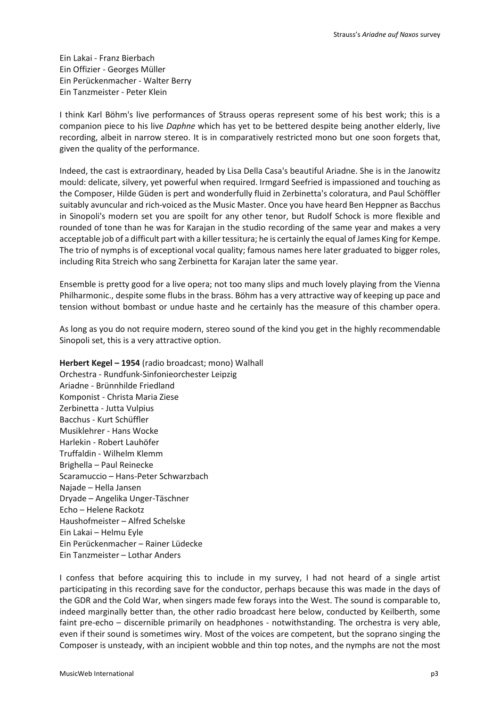Ein Lakai - Franz Bierbach Ein Offizier - Georges Müller Ein Perückenmacher - Walter Berry Ein Tanzmeister - Peter Klein

I think Karl Böhm's live performances of Strauss operas represent some of his best work; this is a companion piece to his live *Daphne* which has yet to be bettered despite being another elderly, live recording, albeit in narrow stereo. It is in comparatively restricted mono but one soon forgets that, given the quality of the performance.

Indeed, the cast is extraordinary, headed by Lisa Della Casa's beautiful Ariadne. She is in the Janowitz mould: delicate, silvery, yet powerful when required. Irmgard Seefried is impassioned and touching as the Composer, Hilde Güden is pert and wonderfully fluid in Zerbinetta's coloratura, and Paul Schöffler suitably avuncular and rich-voiced as the Music Master. Once you have heard Ben Heppner as Bacchus in Sinopoli's modern set you are spoilt for any other tenor, but Rudolf Schock is more flexible and rounded of tone than he was for Karajan in the studio recording of the same year and makes a very acceptable job of a difficult part with a killer tessitura; he is certainly the equal of James King for Kempe. The trio of nymphs is of exceptional vocal quality; famous names here later graduated to bigger roles, including Rita Streich who sang Zerbinetta for Karajan later the same year.

Ensemble is pretty good for a live opera; not too many slips and much lovely playing from the Vienna Philharmonic., despite some flubs in the brass. Böhm has a very attractive way of keeping up pace and tension without bombast or undue haste and he certainly has the measure of this chamber opera.

As long as you do not require modern, stereo sound of the kind you get in the highly recommendable Sinopoli set, this is a very attractive option.

## **Herbert Kegel – 1954** (radio broadcast; mono) Walhall

Orchestra - Rundfunk-Sinfonieorchester Leipzig Ariadne - Brünnhilde Friedland Komponist - Christa Maria Ziese Zerbinetta - Jutta Vulpius Bacchus - Kurt Schüffler Musiklehrer - Hans Wocke Harlekin - Robert Lauhöfer Truffaldin - Wilhelm Klemm Brighella – Paul Reinecke Scaramuccio – Hans-Peter Schwarzbach Najade – Hella Jansen Dryade – Angelika Unger-Täschner Echo – Helene Rackotz Haushofmeister – Alfred Schelske Ein Lakai – Helmu Eyle Ein Perückenmacher – Rainer Lüdecke Ein Tanzmeister – Lothar Anders

I confess that before acquiring this to include in my survey, I had not heard of a single artist participating in this recording save for the conductor, perhaps because this was made in the days of the GDR and the Cold War, when singers made few forays into the West. The sound is comparable to, indeed marginally better than, the other radio broadcast here below, conducted by Keilberth, some faint pre-echo – discernible primarily on headphones - notwithstanding. The orchestra is very able, even if their sound is sometimes wiry. Most of the voices are competent, but the soprano singing the Composer is unsteady, with an incipient wobble and thin top notes, and the nymphs are not the most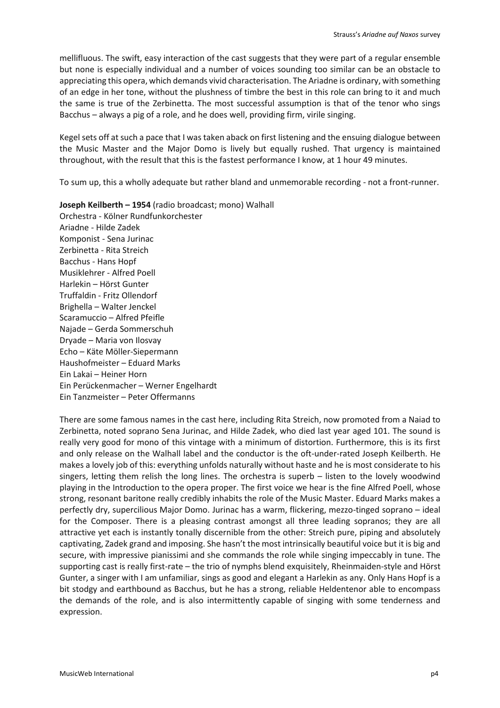mellifluous. The swift, easy interaction of the cast suggests that they were part of a regular ensemble but none is especially individual and a number of voices sounding too similar can be an obstacle to appreciating this opera, which demands vivid characterisation. The Ariadne is ordinary, with something of an edge in her tone, without the plushness of timbre the best in this role can bring to it and much the same is true of the Zerbinetta. The most successful assumption is that of the tenor who sings Bacchus – always a pig of a role, and he does well, providing firm, virile singing.

Kegel sets off at such a pace that I was taken aback on first listening and the ensuing dialogue between the Music Master and the Major Domo is lively but equally rushed. That urgency is maintained throughout, with the result that this is the fastest performance I know, at 1 hour 49 minutes.

To sum up, this a wholly adequate but rather bland and unmemorable recording - not a front-runner.

**Joseph Keilberth – 1954** (radio broadcast; mono) Walhall Orchestra - Kölner Rundfunkorchester Ariadne - Hilde Zadek Komponist - Sena Jurinac Zerbinetta - Rita Streich Bacchus - Hans Hopf Musiklehrer - Alfred Poell Harlekin – Hörst Gunter Truffaldin - Fritz Ollendorf Brighella – Walter Jenckel Scaramuccio – Alfred Pfeifle Najade – Gerda Sommerschuh Dryade – Maria von Ilosvay Echo – Käte Möller-Siepermann Haushofmeister – Eduard Marks Ein Lakai – Heiner Horn Ein Perückenmacher – Werner Engelhardt Ein Tanzmeister – Peter Offermanns

There are some famous names in the cast here, including Rita Streich, now promoted from a Naiad to Zerbinetta, noted soprano Sena Jurinac, and Hilde Zadek, who died last year aged 101. The sound is really very good for mono of this vintage with a minimum of distortion. Furthermore, this is its first and only release on the Walhall label and the conductor is the oft-under-rated Joseph Keilberth. He makes a lovely job of this: everything unfolds naturally without haste and he is most considerate to his singers, letting them relish the long lines. The orchestra is superb – listen to the lovely woodwind playing in the Introduction to the opera proper. The first voice we hear is the fine Alfred Poell, whose strong, resonant baritone really credibly inhabits the role of the Music Master. Eduard Marks makes a perfectly dry, supercilious Major Domo. Jurinac has a warm, flickering, mezzo-tinged soprano – ideal for the Composer. There is a pleasing contrast amongst all three leading sopranos; they are all attractive yet each is instantly tonally discernible from the other: Streich pure, piping and absolutely captivating, Zadek grand and imposing. She hasn't the most intrinsically beautiful voice but it is big and secure, with impressive pianissimi and she commands the role while singing impeccably in tune. The supporting cast is really first-rate – the trio of nymphs blend exquisitely, Rheinmaiden-style and Hörst Gunter, a singer with I am unfamiliar, sings as good and elegant a Harlekin as any. Only Hans Hopf is a bit stodgy and earthbound as Bacchus, but he has a strong, reliable Heldentenor able to encompass the demands of the role, and is also intermittently capable of singing with some tenderness and expression.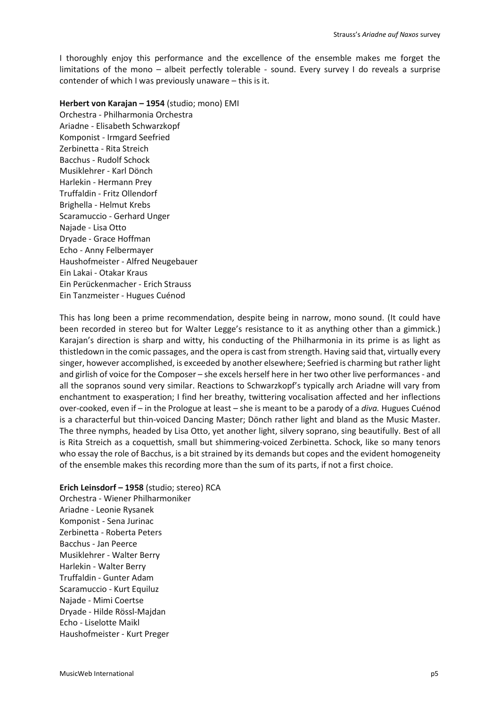I thoroughly enjoy this performance and the excellence of the ensemble makes me forget the limitations of the mono – albeit perfectly tolerable - sound. Every survey I do reveals a surprise contender of which I was previously unaware – this is it.

#### **Herbert von Karajan – 1954** (studio; mono) EMI

Orchestra - Philharmonia Orchestra Ariadne - Elisabeth Schwarzkopf Komponist - Irmgard Seefried Zerbinetta - Rita Streich Bacchus - Rudolf Schock Musiklehrer - Karl Dönch Harlekin - Hermann Prey Truffaldin - Fritz Ollendorf Brighella - Helmut Krebs Scaramuccio - Gerhard Unger Najade - Lisa Otto Dryade - Grace Hoffman Echo - Anny Felbermayer Haushofmeister - Alfred Neugebauer Ein Lakai - Otakar Kraus Ein Perückenmacher - Erich Strauss Ein Tanzmeister - Hugues Cuénod

This has long been a prime recommendation, despite being in narrow, mono sound. (It could have been recorded in stereo but for Walter Legge's resistance to it as anything other than a gimmick.) Karajan's direction is sharp and witty, his conducting of the Philharmonia in its prime is as light as thistledown in the comic passages, and the opera is cast from strength. Having said that, virtually every singer, however accomplished, is exceeded by another elsewhere; Seefried is charming but rather light and girlish of voice for the Composer – she excels herself here in her two other live performances - and all the sopranos sound very similar. Reactions to Schwarzkopf's typically arch Ariadne will vary from enchantment to exasperation; I find her breathy, twittering vocalisation affected and her inflections over-cooked, even if – in the Prologue at least – she is meant to be a parody of a *diva.* Hugues Cuénod is a characterful but thin-voiced Dancing Master; Dönch rather light and bland as the Music Master. The three nymphs, headed by Lisa Otto, yet another light, silvery soprano, sing beautifully. Best of all is Rita Streich as a coquettish, small but shimmering-voiced Zerbinetta. Schock, like so many tenors who essay the role of Bacchus, is a bit strained by its demands but copes and the evident homogeneity of the ensemble makes this recording more than the sum of its parts, if not a first choice.

## **Erich Leinsdorf – 1958** (studio; stereo) RCA

Orchestra - Wiener Philharmoniker Ariadne - Leonie Rysanek Komponist - Sena Jurinac Zerbinetta - Roberta Peters Bacchus - Jan Peerce Musiklehrer - Walter Berry Harlekin - Walter Berry Truffaldin - Gunter Adam Scaramuccio - Kurt Equiluz Najade - Mimi Coertse Dryade - Hilde Rössl-Majdan Echo - Liselotte Maikl Haushofmeister - Kurt Preger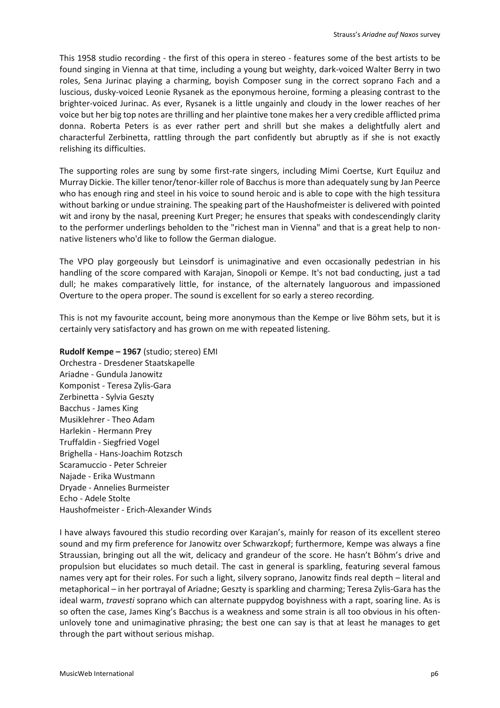This 1958 studio recording - the first of this opera in stereo - features some of the best artists to be found singing in Vienna at that time, including a young but weighty, dark-voiced Walter Berry in two roles, Sena Jurinac playing a charming, boyish Composer sung in the correct soprano Fach and a luscious, dusky-voiced Leonie Rysanek as the eponymous heroine, forming a pleasing contrast to the brighter-voiced Jurinac. As ever, Rysanek is a little ungainly and cloudy in the lower reaches of her voice but her big top notes are thrilling and her plaintive tone makes her a very credible afflicted prima donna. Roberta Peters is as ever rather pert and shrill but she makes a delightfully alert and characterful Zerbinetta, rattling through the part confidently but abruptly as if she is not exactly relishing its difficulties.

The supporting roles are sung by some first-rate singers, including Mimi Coertse, Kurt Equiluz and Murray Dickie. The killer tenor/tenor-killer role of Bacchus is more than adequately sung by Jan Peerce who has enough ring and steel in his voice to sound heroic and is able to cope with the high tessitura without barking or undue straining. The speaking part of the Haushofmeister is delivered with pointed wit and irony by the nasal, preening Kurt Preger; he ensures that speaks with condescendingly clarity to the performer underlings beholden to the "richest man in Vienna" and that is a great help to nonnative listeners who'd like to follow the German dialogue.

The VPO play gorgeously but Leinsdorf is unimaginative and even occasionally pedestrian in his handling of the score compared with Karajan, Sinopoli or Kempe. It's not bad conducting, just a tad dull; he makes comparatively little, for instance, of the alternately languorous and impassioned Overture to the opera proper. The sound is excellent for so early a stereo recording.

This is not my favourite account, being more anonymous than the Kempe or live Böhm sets, but it is certainly very satisfactory and has grown on me with repeated listening.

### **Rudolf Kempe – 1967** (studio; stereo) EMI

Orchestra - Dresdener Staatskapelle Ariadne - Gundula Janowitz Komponist - Teresa Zylis-Gara Zerbinetta - Sylvia Geszty Bacchus - James King Musiklehrer - Theo Adam Harlekin - Hermann Prey Truffaldin - Siegfried Vogel Brighella - Hans-Joachim Rotzsch Scaramuccio - Peter Schreier Najade - Erika Wustmann Dryade - Annelies Burmeister Echo - Adele Stolte Haushofmeister - Erich-Alexander Winds

I have always favoured this studio recording over Karajan's, mainly for reason of its excellent stereo sound and my firm preference for Janowitz over Schwarzkopf; furthermore, Kempe was always a fine Straussian, bringing out all the wit, delicacy and grandeur of the score. He hasn't Böhm's drive and propulsion but elucidates so much detail. The cast in general is sparkling, featuring several famous names very apt for their roles. For such a light, silvery soprano, Janowitz finds real depth – literal and metaphorical – in her portrayal of Ariadne; Geszty is sparkling and charming; Teresa Zylis-Gara has the ideal warm, *travesti* soprano which can alternate puppydog boyishness with a rapt, soaring line. As is so often the case, James King's Bacchus is a weakness and some strain is all too obvious in his oftenunlovely tone and unimaginative phrasing; the best one can say is that at least he manages to get through the part without serious mishap.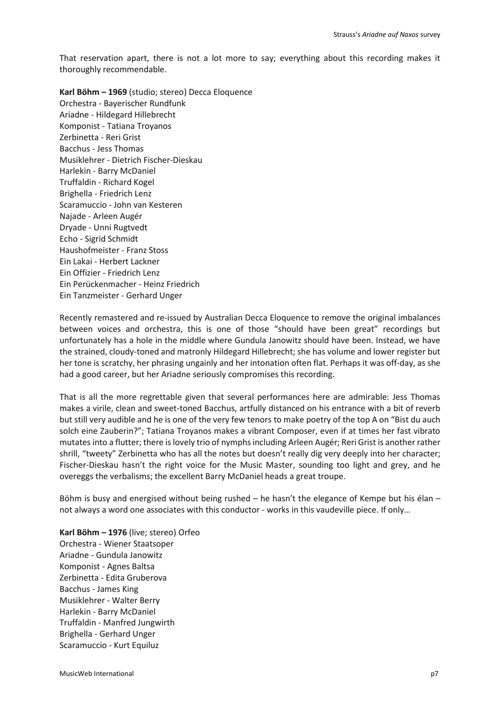That reservation apart, there is not a lot more to say; everything about this recording makes it thoroughly recommendable.

**Karl Böhm – 1969** (studio; stereo) Decca Eloquence Orchestra - Bayerischer Rundfunk Ariadne - Hildegard Hillebrecht Komponist - Tatiana Troyanos Zerbinetta - Reri Grist Bacchus - Jess Thomas Musiklehrer - Dietrich Fischer-Dieskau Harlekin - Barry McDaniel Truffaldin - Richard Kogel Brighella - Friedrich Lenz Scaramuccio - John van Kesteren Najade - Arleen Augér Dryade - Unni Rugtvedt Echo - Sigrid Schmidt Haushofmeister - Franz Stoss Ein Lakai - Herbert Lackner Ein Offizier - Friedrich Lenz Ein Perückenmacher - Heinz Friedrich Ein Tanzmeister - Gerhard Unger

Recently remastered and re-issued by Australian Decca Eloquence to remove the original imbalances between voices and orchestra, this is one of those "should have been great" recordings but unfortunately has a hole in the middle where Gundula Janowitz should have been. Instead, we have the strained, cloudy-toned and matronly Hildegard Hillebrecht; she has volume and lower register but her tone is scratchy, her phrasing ungainly and her intonation often flat. Perhaps it was off-day, as she had a good career, but her Ariadne seriously compromises this recording.

That is all the more regrettable given that several performances here are admirable: Jess Thomas makes a virile, clean and sweet-toned Bacchus, artfully distanced on his entrance with a bit of reverb but still very audible and he is one of the very few tenors to make poetry of the top A on "Bist du auch solch eine Zauberin?"; Tatiana Troyanos makes a vibrant Composer, even if at times her fast vibrato mutates into a flutter; there is lovely trio of nymphs including Arleen Augér; Reri Grist is another rather shrill, "tweety" Zerbinetta who has all the notes but doesn't really dig very deeply into her character; Fischer-Dieskau hasn't the right voice for the Music Master, sounding too light and grey, and he overeggs the verbalisms; the excellent Barry McDaniel heads a great troupe.

Böhm is busy and energised without being rushed – he hasn't the elegance of Kempe but his élan – not always a word one associates with this conductor - works in this vaudeville piece. If only…

**Karl Böhm – 1976** (live; stereo) Orfeo Orchestra - Wiener Staatsoper Ariadne - Gundula Janowitz Komponist - Agnes Baltsa Zerbinetta - Edita Gruberova Bacchus - James King Musiklehrer - Walter Berry Harlekin - Barry McDaniel Truffaldin - Manfred Jungwirth Brighella - Gerhard Unger Scaramuccio - Kurt Equiluz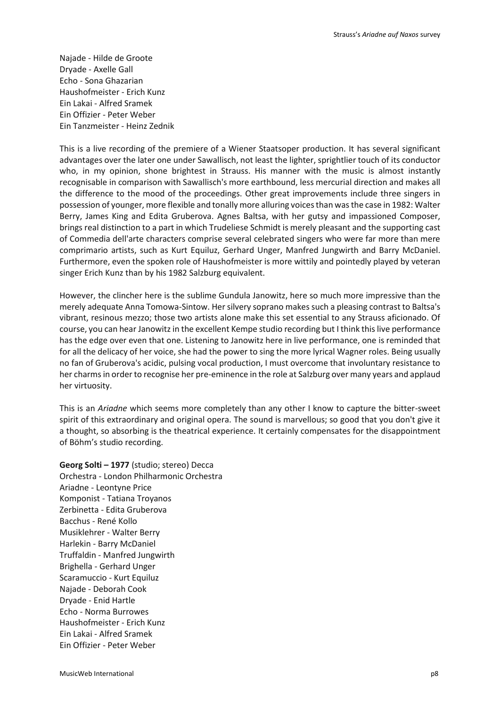Najade - Hilde de Groote Dryade - Axelle Gall Echo - Sona Ghazarian Haushofmeister - Erich Kunz Ein Lakai - Alfred Sramek Ein Offizier - Peter Weber Ein Tanzmeister - Heinz Zednik

This is a live recording of the premiere of a Wiener Staatsoper production. It has several significant advantages over the later one under Sawallisch, not least the lighter, sprightlier touch of its conductor who, in my opinion, shone brightest in Strauss. His manner with the music is almost instantly recognisable in comparison with Sawallisch's more earthbound, less mercurial direction and makes all the difference to the mood of the proceedings. Other great improvements include three singers in possession of younger, more flexible and tonally more alluring voices than was the case in 1982: Walter Berry, James King and Edita Gruberova. Agnes Baltsa, with her gutsy and impassioned Composer, brings real distinction to a part in which Trudeliese Schmidt is merely pleasant and the supporting cast of Commedia dell'arte characters comprise several celebrated singers who were far more than mere comprimario artists, such as Kurt Equiluz, Gerhard Unger, Manfred Jungwirth and Barry McDaniel. Furthermore, even the spoken role of Haushofmeister is more wittily and pointedly played by veteran singer Erich Kunz than by his 1982 Salzburg equivalent.

However, the clincher here is the sublime Gundula Janowitz, here so much more impressive than the merely adequate Anna Tomowa-Sintow. Her silvery soprano makes such a pleasing contrast to Baltsa's vibrant, resinous mezzo; those two artists alone make this set essential to any Strauss aficionado. Of course, you can hear Janowitz in the excellent Kempe studio recording but I think this live performance has the edge over even that one. Listening to Janowitz here in live performance, one is reminded that for all the delicacy of her voice, she had the power to sing the more lyrical Wagner roles. Being usually no fan of Gruberova's acidic, pulsing vocal production, I must overcome that involuntary resistance to her charms in order to recognise her pre-eminence in the role at Salzburg over many years and applaud her virtuosity.

This is an *Ariadne* which seems more completely than any other I know to capture the bitter-sweet spirit of this extraordinary and original opera. The sound is marvellous; so good that you don't give it a thought, so absorbing is the theatrical experience. It certainly compensates for the disappointment of Böhm's studio recording.

**Georg Solti – 1977** (studio; stereo) Decca Orchestra - London Philharmonic Orchestra Ariadne - Leontyne Price Komponist - Tatiana Troyanos Zerbinetta - Edita Gruberova Bacchus - René Kollo Musiklehrer - Walter Berry Harlekin - Barry McDaniel Truffaldin - Manfred Jungwirth Brighella - Gerhard Unger Scaramuccio - Kurt Equiluz Najade - Deborah Cook Dryade - Enid Hartle Echo - Norma Burrowes Haushofmeister - Erich Kunz Ein Lakai - Alfred Sramek Ein Offizier - Peter Weber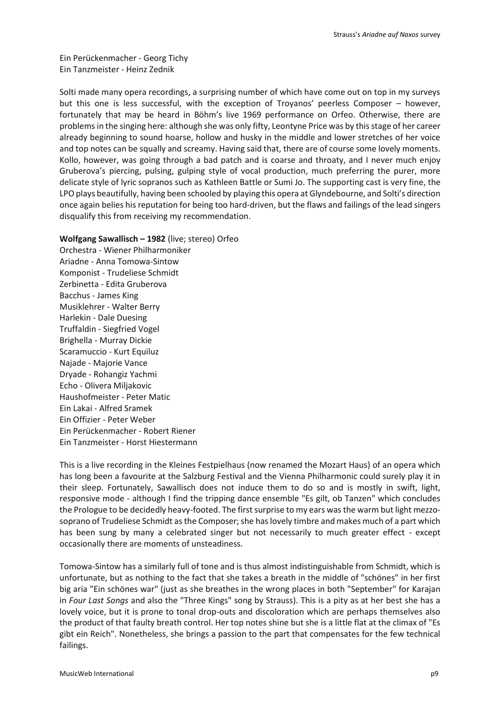Ein Perückenmacher - Georg Tichy Ein Tanzmeister - Heinz Zednik

Solti made many opera recordings, a surprising number of which have come out on top in my surveys but this one is less successful, with the exception of Troyanos' peerless Composer – however, fortunately that may be heard in Böhm's live 1969 performance on Orfeo. Otherwise, there are problems in the singing here: although she was only fifty, Leontyne Price was by this stage of her career already beginning to sound hoarse, hollow and husky in the middle and lower stretches of her voice and top notes can be squally and screamy. Having said that, there are of course some lovely moments. Kollo, however, was going through a bad patch and is coarse and throaty, and I never much enjoy Gruberova's piercing, pulsing, gulping style of vocal production, much preferring the purer, more delicate style of lyric sopranos such as Kathleen Battle or Sumi Jo. The supporting cast is very fine, the LPO plays beautifully, having been schooled by playing this opera at Glyndebourne, and Solti's direction once again belies his reputation for being too hard-driven, but the flaws and failings of the lead singers disqualify this from receiving my recommendation.

# **Wolfgang Sawallisch – 1982** (live; stereo) Orfeo

Orchestra - Wiener Philharmoniker Ariadne - Anna Tomowa-Sintow Komponist - Trudeliese Schmidt Zerbinetta - Edita Gruberova Bacchus - James King Musiklehrer - Walter Berry Harlekin - Dale Duesing Truffaldin - Siegfried Vogel Brighella - Murray Dickie Scaramuccio - Kurt Equiluz Najade - Majorie Vance Dryade - Rohangiz Yachmi Echo - Olivera Miljakovic Haushofmeister - Peter Matic Ein Lakai - Alfred Sramek Ein Offizier - Peter Weber Ein Perückenmacher - Robert Riener Ein Tanzmeister - Horst Hiestermann

This is a live recording in the Kleines Festpielhaus (now renamed the Mozart Haus) of an opera which has long been a favourite at the Salzburg Festival and the Vienna Philharmonic could surely play it in their sleep. Fortunately, Sawallisch does not induce them to do so and is mostly in swift, light, responsive mode - although I find the tripping dance ensemble "Es gilt, ob Tanzen" which concludes the Prologue to be decidedly heavy-footed. The first surprise to my ears was the warm but light mezzosoprano of Trudeliese Schmidt as the Composer; she has lovely timbre and makes much of a part which has been sung by many a celebrated singer but not necessarily to much greater effect - except occasionally there are moments of unsteadiness.

Tomowa-Sintow has a similarly full of tone and is thus almost indistinguishable from Schmidt, which is unfortunate, but as nothing to the fact that she takes a breath in the middle of "schönes" in her first big aria "Ein schönes war" (just as she breathes in the wrong places in both "September" for Karajan in *Four Last Songs* and also the "Three Kings" song by Strauss). This is a pity as at her best she has a lovely voice, but it is prone to tonal drop-outs and discoloration which are perhaps themselves also the product of that faulty breath control. Her top notes shine but she is a little flat at the climax of "Es gibt ein Reich". Nonetheless, she brings a passion to the part that compensates for the few technical failings.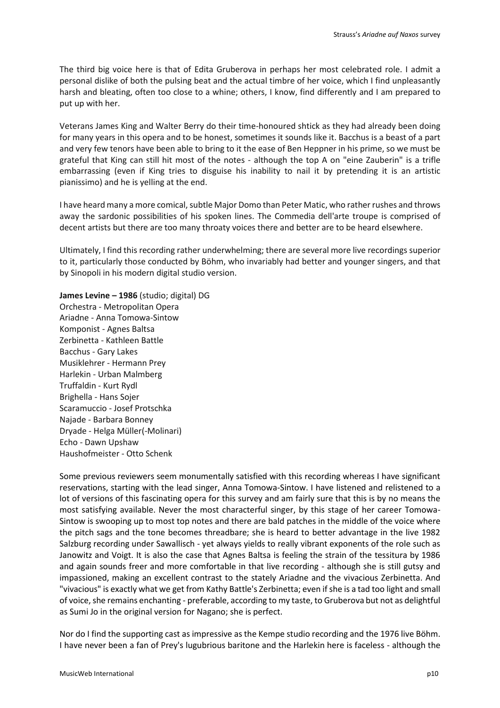The third big voice here is that of Edita Gruberova in perhaps her most celebrated role. I admit a personal dislike of both the pulsing beat and the actual timbre of her voice, which I find unpleasantly harsh and bleating, often too close to a whine; others, I know, find differently and I am prepared to put up with her.

Veterans James King and Walter Berry do their time-honoured shtick as they had already been doing for many years in this opera and to be honest, sometimes it sounds like it. Bacchus is a beast of a part and very few tenors have been able to bring to it the ease of Ben Heppner in his prime, so we must be grateful that King can still hit most of the notes - although the top A on "eine Zauberin" is a trifle embarrassing (even if King tries to disguise his inability to nail it by pretending it is an artistic pianissimo) and he is yelling at the end.

I have heard many a more comical, subtle Major Domo than Peter Matic, who rather rushes and throws away the sardonic possibilities of his spoken lines. The Commedia dell'arte troupe is comprised of decent artists but there are too many throaty voices there and better are to be heard elsewhere.

Ultimately, I find this recording rather underwhelming; there are several more live recordings superior to it, particularly those conducted by Böhm, who invariably had better and younger singers, and that by Sinopoli in his modern digital studio version.

**James Levine – 1986** (studio; digital) DG Orchestra - Metropolitan Opera

Ariadne - Anna Tomowa-Sintow Komponist - Agnes Baltsa Zerbinetta - Kathleen Battle Bacchus - Gary Lakes Musiklehrer - Hermann Prey Harlekin - Urban Malmberg Truffaldin - Kurt Rydl Brighella - Hans Sojer Scaramuccio - Josef Protschka Najade - Barbara Bonney Dryade - Helga Müller(-Molinari) Echo - Dawn Upshaw Haushofmeister - Otto Schenk

Some previous reviewers seem monumentally satisfied with this recording whereas I have significant reservations, starting with the lead singer, Anna Tomowa-Sintow. I have listened and relistened to a lot of versions of this fascinating opera for this survey and am fairly sure that this is by no means the most satisfying available. Never the most characterful singer, by this stage of her career Tomowa-Sintow is swooping up to most top notes and there are bald patches in the middle of the voice where the pitch sags and the tone becomes threadbare; she is heard to better advantage in the live 1982 Salzburg recording under Sawallisch - yet always yields to really vibrant exponents of the role such as Janowitz and Voigt. It is also the case that Agnes Baltsa is feeling the strain of the tessitura by 1986 and again sounds freer and more comfortable in that live recording - although she is still gutsy and impassioned, making an excellent contrast to the stately Ariadne and the vivacious Zerbinetta. And "vivacious" is exactly what we get from Kathy Battle's Zerbinetta; even if she is a tad too light and small of voice, she remains enchanting - preferable, according to my taste, to Gruberova but not as delightful as Sumi Jo in the original version for Nagano; she is perfect.

Nor do I find the supporting cast as impressive as the Kempe studio recording and the 1976 live Böhm. I have never been a fan of Prey's lugubrious baritone and the Harlekin here is faceless - although the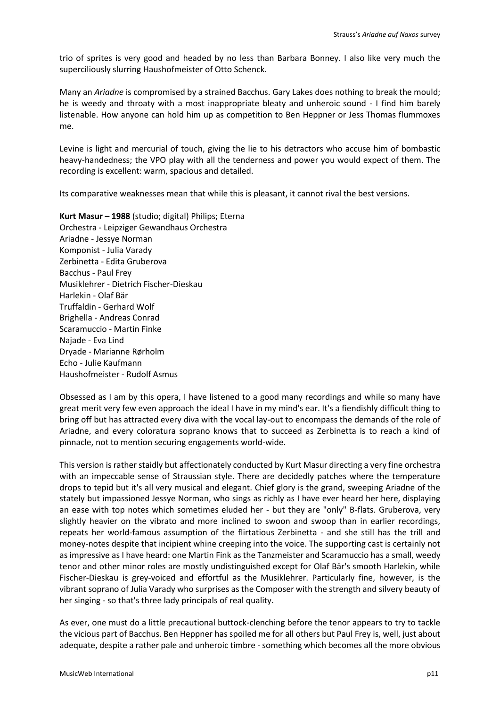trio of sprites is very good and headed by no less than Barbara Bonney. I also like very much the superciliously slurring Haushofmeister of Otto Schenck.

Many an *Ariadne* is compromised by a strained Bacchus. Gary Lakes does nothing to break the mould; he is weedy and throaty with a most inappropriate bleaty and unheroic sound - I find him barely listenable. How anyone can hold him up as competition to Ben Heppner or Jess Thomas flummoxes me.

Levine is light and mercurial of touch, giving the lie to his detractors who accuse him of bombastic heavy-handedness; the VPO play with all the tenderness and power you would expect of them. The recording is excellent: warm, spacious and detailed.

Its comparative weaknesses mean that while this is pleasant, it cannot rival the best versions.

**Kurt Masur – 1988** (studio; digital) Philips; Eterna Orchestra - Leipziger Gewandhaus Orchestra Ariadne - Jessye Norman Komponist - Julia Varady Zerbinetta - Edita Gruberova Bacchus - Paul Frey Musiklehrer - Dietrich Fischer-Dieskau Harlekin - Olaf Bär Truffaldin - Gerhard Wolf Brighella - Andreas Conrad Scaramuccio - Martin Finke Najade - Eva Lind Dryade - Marianne Rørholm Echo - Julie Kaufmann Haushofmeister - Rudolf Asmus

Obsessed as I am by this opera, I have listened to a good many recordings and while so many have great merit very few even approach the ideal I have in my mind's ear. It's a fiendishly difficult thing to bring off but has attracted every diva with the vocal lay-out to encompass the demands of the role of Ariadne, and every coloratura soprano knows that to succeed as Zerbinetta is to reach a kind of pinnacle, not to mention securing engagements world-wide.

This version is rather staidly but affectionately conducted by Kurt Masur directing a very fine orchestra with an impeccable sense of Straussian style. There are decidedly patches where the temperature drops to tepid but it's all very musical and elegant. Chief glory is the grand, sweeping Ariadne of the stately but impassioned Jessye Norman, who sings as richly as I have ever heard her here, displaying an ease with top notes which sometimes eluded her - but they are "only" B-flats. Gruberova, very slightly heavier on the vibrato and more inclined to swoon and swoop than in earlier recordings, repeats her world-famous assumption of the flirtatious Zerbinetta - and she still has the trill and money-notes despite that incipient whine creeping into the voice. The supporting cast is certainly not as impressive as I have heard: one Martin Fink as the Tanzmeister and Scaramuccio has a small, weedy tenor and other minor roles are mostly undistinguished except for Olaf Bär's smooth Harlekin, while Fischer-Dieskau is grey-voiced and effortful as the Musiklehrer. Particularly fine, however, is the vibrant soprano of Julia Varady who surprises as the Composer with the strength and silvery beauty of her singing - so that's three lady principals of real quality.

As ever, one must do a little precautional buttock-clenching before the tenor appears to try to tackle the vicious part of Bacchus. Ben Heppner has spoiled me for all others but Paul Frey is, well, just about adequate, despite a rather pale and unheroic timbre - something which becomes all the more obvious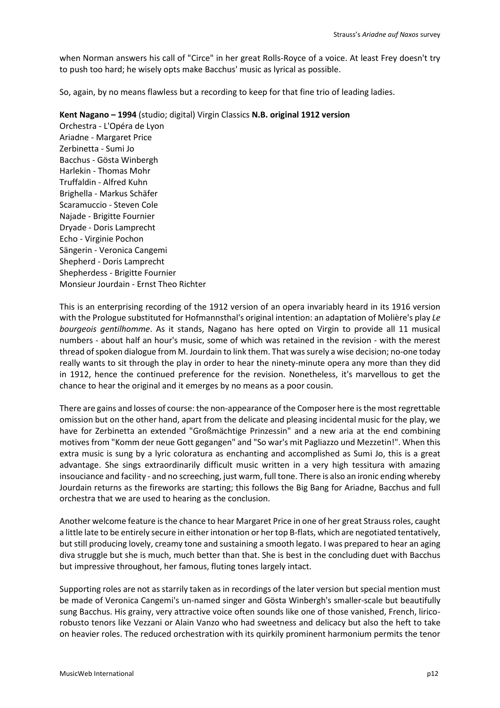when Norman answers his call of "Circe" in her great Rolls-Royce of a voice. At least Frey doesn't try to push too hard; he wisely opts make Bacchus' music as lyrical as possible.

So, again, by no means flawless but a recording to keep for that fine trio of leading ladies.

### **Kent Nagano – 1994** (studio; digital) Virgin Classics **N.B. original 1912 version**

Orchestra - L'Opéra de Lyon Ariadne - Margaret Price Zerbinetta - Sumi Jo Bacchus - Gösta Winbergh Harlekin - Thomas Mohr Truffaldin - Alfred Kuhn Brighella - Markus Schäfer Scaramuccio - Steven Cole Najade - Brigitte Fournier Dryade - Doris Lamprecht Echo - Virginie Pochon Sängerin - Veronica Cangemi Shepherd - Doris Lamprecht Shepherdess - Brigitte Fournier Monsieur Jourdain - Ernst Theo Richter

This is an enterprising recording of the 1912 version of an opera invariably heard in its 1916 version with the Prologue substituted for Hofmannsthal's original intention: an adaptation of Molière's play *Le bourgeois gentilhomme*. As it stands, Nagano has here opted on Virgin to provide all 11 musical numbers - about half an hour's music, some of which was retained in the revision - with the merest thread of spoken dialogue from M. Jourdain to link them. That was surely a wise decision; no-one today really wants to sit through the play in order to hear the ninety-minute opera any more than they did in 1912, hence the continued preference for the revision. Nonetheless, it's marvellous to get the chance to hear the original and it emerges by no means as a poor cousin.

There are gains and losses of course: the non-appearance of the Composer here is the most regrettable omission but on the other hand, apart from the delicate and pleasing incidental music for the play, we have for Zerbinetta an extended "Großmächtige Prinzessin" and a new aria at the end combining motives from "Komm der neue Gott gegangen" and "So war's mit Pagliazzo und Mezzetin!". When this extra music is sung by a lyric coloratura as enchanting and accomplished as Sumi Jo, this is a great advantage. She sings extraordinarily difficult music written in a very high tessitura with amazing insouciance and facility - and no screeching, just warm, full tone. There is also an ironic ending whereby Jourdain returns as the fireworks are starting; this follows the Big Bang for Ariadne, Bacchus and full orchestra that we are used to hearing as the conclusion.

Another welcome feature is the chance to hear Margaret Price in one of her great Strauss roles, caught a little late to be entirely secure in either intonation or her top B-flats, which are negotiated tentatively, but still producing lovely, creamy tone and sustaining a smooth legato. I was prepared to hear an aging diva struggle but she is much, much better than that. She is best in the concluding duet with Bacchus but impressive throughout, her famous, fluting tones largely intact.

Supporting roles are not as starrily taken as in recordings of the later version but special mention must be made of Veronica Cangemi's un-named singer and Gösta Winbergh's smaller-scale but beautifully sung Bacchus. His grainy, very attractive voice often sounds like one of those vanished, French, liricorobusto tenors like Vezzani or Alain Vanzo who had sweetness and delicacy but also the heft to take on heavier roles. The reduced orchestration with its quirkily prominent harmonium permits the tenor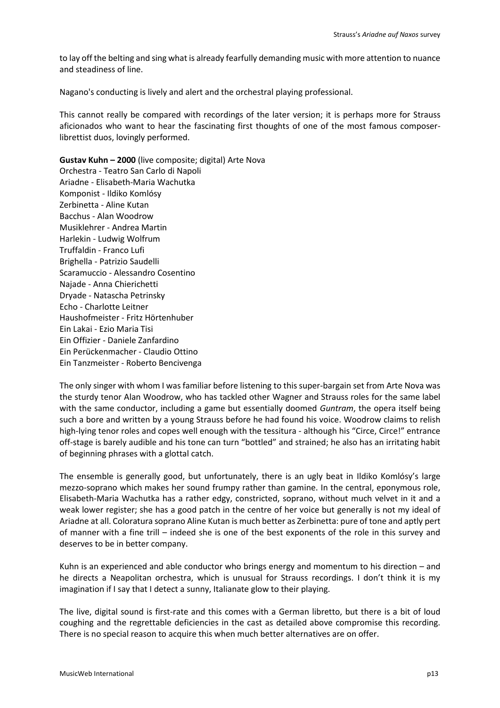to lay off the belting and sing what is already fearfully demanding music with more attention to nuance and steadiness of line.

Nagano's conducting is lively and alert and the orchestral playing professional.

This cannot really be compared with recordings of the later version; it is perhaps more for Strauss aficionados who want to hear the fascinating first thoughts of one of the most famous composerlibrettist duos, lovingly performed.

**Gustav Kuhn – 2000** (live composite; digital) Arte Nova Orchestra - Teatro San Carlo di Napoli Ariadne - Elisabeth-Maria Wachutka Komponist - Ildiko Komlósy Zerbinetta - Aline Kutan Bacchus - Alan Woodrow Musiklehrer - Andrea Martin Harlekin - Ludwig Wolfrum Truffaldin - Franco Lufi Brighella - Patrizio Saudelli Scaramuccio - Alessandro Cosentino Najade - Anna Chierichetti Dryade - Natascha Petrinsky Echo - Charlotte Leitner Haushofmeister - Fritz Hörtenhuber Ein Lakai - Ezio Maria Tisi Ein Offizier - Daniele Zanfardino Ein Perückenmacher - Claudio Ottino Ein Tanzmeister - Roberto Bencivenga

The only singer with whom I was familiar before listening to this super-bargain set from Arte Nova was the sturdy tenor Alan Woodrow, who has tackled other Wagner and Strauss roles for the same label with the same conductor, including a game but essentially doomed *Guntram*, the opera itself being such a bore and written by a young Strauss before he had found his voice. Woodrow claims to relish high-lying tenor roles and copes well enough with the tessitura - although his "Circe, Circe!" entrance off-stage is barely audible and his tone can turn "bottled" and strained; he also has an irritating habit of beginning phrases with a glottal catch.

The ensemble is generally good, but unfortunately, there is an ugly beat in Ildiko Komlósy's large mezzo-soprano which makes her sound frumpy rather than gamine. In the central, eponymous role, Elisabeth-Maria Wachutka has a rather edgy, constricted, soprano, without much velvet in it and a weak lower register; she has a good patch in the centre of her voice but generally is not my ideal of Ariadne at all. Coloratura soprano Aline Kutan is much better as Zerbinetta: pure of tone and aptly pert of manner with a fine trill – indeed she is one of the best exponents of the role in this survey and deserves to be in better company.

Kuhn is an experienced and able conductor who brings energy and momentum to his direction – and he directs a Neapolitan orchestra, which is unusual for Strauss recordings. I don't think it is my imagination if I say that I detect a sunny, Italianate glow to their playing.

The live, digital sound is first-rate and this comes with a German libretto, but there is a bit of loud coughing and the regrettable deficiencies in the cast as detailed above compromise this recording. There is no special reason to acquire this when much better alternatives are on offer.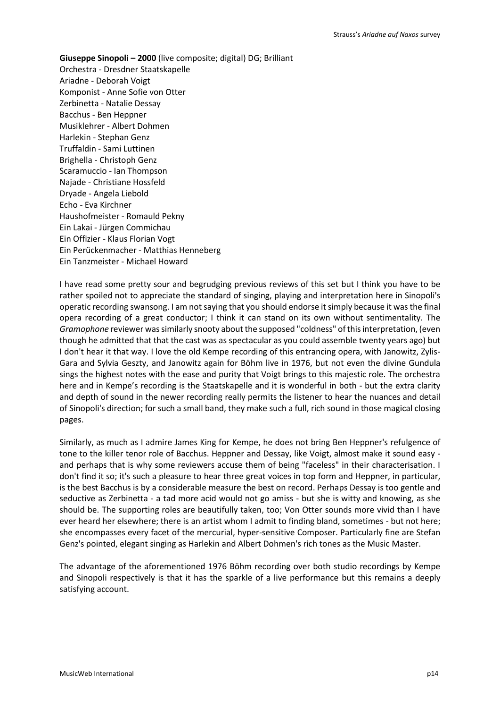**Giuseppe Sinopoli – 2000** (live composite; digital) DG; Brilliant Orchestra - Dresdner Staatskapelle Ariadne - Deborah Voigt Komponist - Anne Sofie von Otter Zerbinetta - Natalie Dessay Bacchus - Ben Heppner Musiklehrer - Albert Dohmen Harlekin - Stephan Genz Truffaldin - Sami Luttinen Brighella - Christoph Genz Scaramuccio - Ian Thompson Najade - Christiane Hossfeld Dryade - Angela Liebold Echo - Eva Kirchner Haushofmeister - Romauld Pekny Ein Lakai - Jürgen Commichau Ein Offizier - Klaus Florian Vogt Ein Perückenmacher - Matthias Henneberg Ein Tanzmeister - Michael Howard

I have read some pretty sour and begrudging previous reviews of this set but I think you have to be rather spoiled not to appreciate the standard of singing, playing and interpretation here in Sinopoli's operatic recording swansong. I am not saying that you should endorse it simply because it was the final opera recording of a great conductor; I think it can stand on its own without sentimentality. The *Gramophone* reviewer was similarly snooty about the supposed "coldness" of this interpretation, (even though he admitted that that the cast was as spectacular as you could assemble twenty years ago) but I don't hear it that way. I love the old Kempe recording of this entrancing opera, with Janowitz, Zylis-Gara and Sylvia Geszty, and Janowitz again for Böhm live in 1976, but not even the divine Gundula sings the highest notes with the ease and purity that Voigt brings to this majestic role. The orchestra here and in Kempe's recording is the Staatskapelle and it is wonderful in both - but the extra clarity and depth of sound in the newer recording really permits the listener to hear the nuances and detail of Sinopoli's direction; for such a small band, they make such a full, rich sound in those magical closing pages.

Similarly, as much as I admire James King for Kempe, he does not bring Ben Heppner's refulgence of tone to the killer tenor role of Bacchus. Heppner and Dessay, like Voigt, almost make it sound easy and perhaps that is why some reviewers accuse them of being "faceless" in their characterisation. I don't find it so; it's such a pleasure to hear three great voices in top form and Heppner, in particular, is the best Bacchus is by a considerable measure the best on record. Perhaps Dessay is too gentle and seductive as Zerbinetta - a tad more acid would not go amiss - but she is witty and knowing, as she should be. The supporting roles are beautifully taken, too; Von Otter sounds more vivid than I have ever heard her elsewhere; there is an artist whom I admit to finding bland, sometimes - but not here; she encompasses every facet of the mercurial, hyper-sensitive Composer. Particularly fine are Stefan Genz's pointed, elegant singing as Harlekin and Albert Dohmen's rich tones as the Music Master.

The advantage of the aforementioned 1976 Böhm recording over both studio recordings by Kempe and Sinopoli respectively is that it has the sparkle of a live performance but this remains a deeply satisfying account.